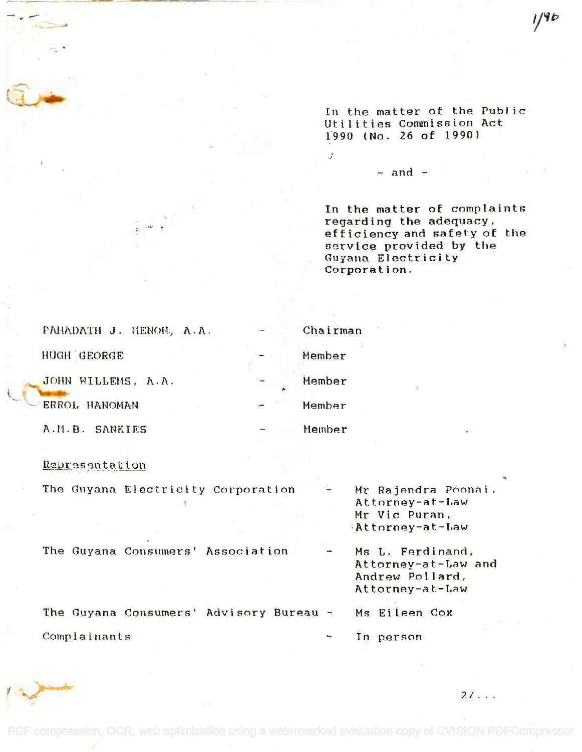In the matter of the Public In the matter of the Public Utilities Commission Act Utilities Commission Act 1990 (No. 26 of 1990) 1~90 (No. 26 of 1990)

 $\div$  and  $\div$ 

 $\vec{J}$ 

In the matter of complaints In the matter of complaint6 regarding the adequacy, regarding the adequacy, efficiency and safety of the efficiency and safety of the service provided by the Guyana Electricity Corporation. service provided by the Guyana Electricity Corporation.

| PARADATH J. MENON, A.A. | Chairman |    |
|-------------------------|----------|----|
| HUGH GEORGE             | Member   |    |
| JOHN WILLEMS, A.A.      | Member   | 7, |
| <b>ERROL HANOMAN</b>    | Member   |    |
| A.M.B. SANKIES          | Member   |    |

## Representation

|              | The Guyana Electricity Corporation      |  |          | Mr Rajendra Poonai.<br>Attorney-at-Law<br>Mr Vic Puran,<br>Attorney-at-Law    |
|--------------|-----------------------------------------|--|----------|-------------------------------------------------------------------------------|
|              | The Guyana Consumers' Association       |  |          | Ms L. Ferdinand,<br>Attorney-at-Law and<br>Andrew Pollard,<br>Attorney-at-Law |
|              | The Guyana Consumers' Advisory Bureau - |  |          | Ms Eileen Cox                                                                 |
| Complainants |                                         |  | پ<br>In. | person                                                                        |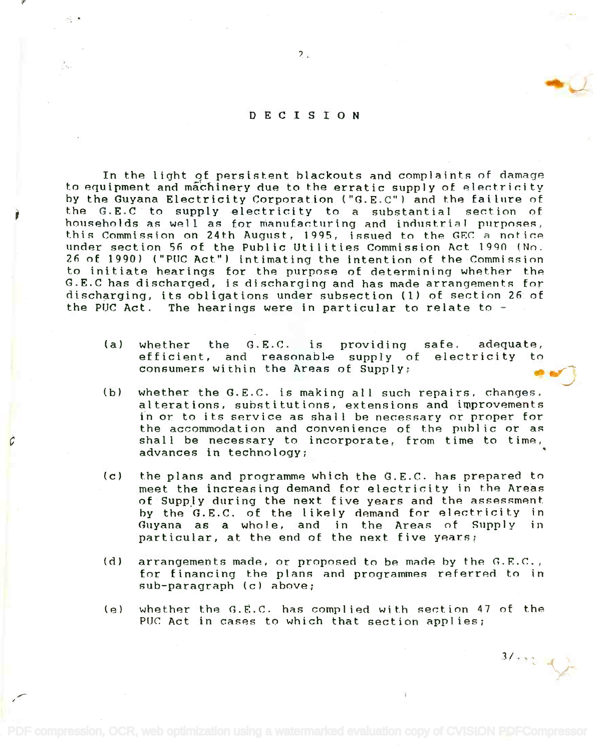## DECISION

In the light of persistent blackouts and complaints of damage In the light qf persistent blackouts and complaints of damage to equipment and machinery due to the erratic supply of electricity by the Guyana Electricity Corporation ("G.E.C") and the failure of by the Guyana Electricity Corporation ("G.E.C") and the failure of the G.E.C to supply electricity to a substantial section of households as well as for manufacturing and industrial purposes, households as well as for manufa~turing and inoustrinl purposes, this Commission on 24th August, 1995, issued to the GEC a notice under section 56 of the Public Utilities Commission Act 1990 (No. under section 56 of the Public Utilities Commission Act 1990 (No. 26 of 1990) ("PUC Act") intimating the intention of the Commission to initiate hearings for the purpose of determining whether the to initiate hearings for the purpose of determining whether the G.E.0 has discharged, is discharging and has made arrangements for G.E.C has discharged, is discharging and has made arrangements for discharging, its obligations under subsection (1) of section 26. of discharging, its obligations under subsection (1) of section 26. of the PUC Act. The hearings were in particular to relate to -  $\sim$ 

- (a) whether the G.E.C. is providing safe, adequate, whether the G.E.C. is providing safe. adequate, efficient, and reasonable supply of electricity to consumers within the Areas of Supply:
- (b) whether the G.E.C. is making all such repairs, changes, alterations, substitutions, extensions and improvements alterations, substitutions, extensions and improvements in or to its service as shall be necessary or proper for in or to its service as shall be necessary or proper for the accommodation and convenience of the public or as the accommodation and convenience of the public or as shall be necessary to incorporate, from time to time, shall be necessary to incorporate, from time to time, advances in technology; advances in technology; ~
- (c) the plans and programme which the G.E.C. has prepared to (c) the plans and programme which the G.E.C. has prepared to meet the increasing demand for electricity in the Areas meet the increasing demand for electricity in the Areas of Supply during the next five years and the assessment by the G.E.C. of the likely demand for electricity in Guyana as a whole, and in the Areas of Supply in Guyana as a whole, and in theAreas of Supply in particular, at the end of the next five years; particular, at the end of the next five years;
- (d) arrangements made, or proposed to be made by the G.E.C., (d) arrangements made, or proposed to be maoe by the *r..F..r..,* for financing the plans and programmes referred to in sub-paragraph (c) above; sub-paragraph (c) nbove;
- (e) whether the G.E.C. has complied with section 47 of the (e) whether the G.E.C. has complied with section 47 of the PUC Act in cases to which that section applies;

 $31.82 + 1.7$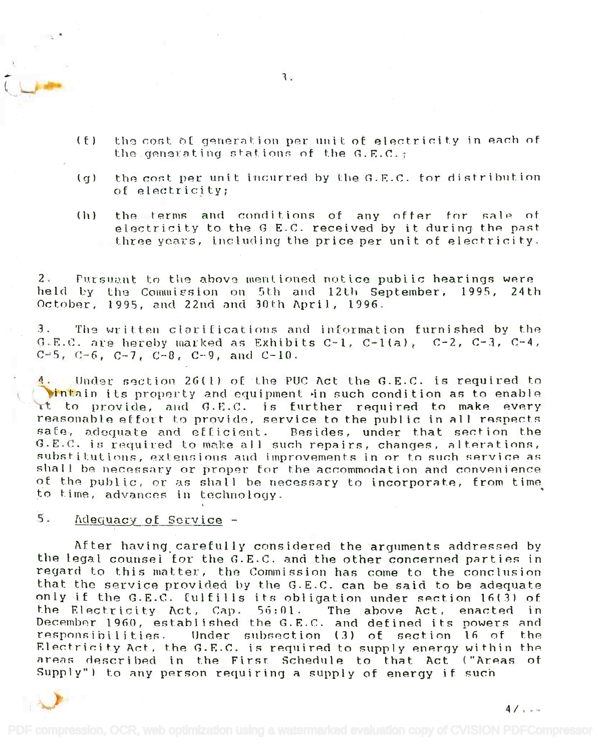- (f) the cost of generation per unit of electricity in each of the generating stations of the G.E.C.;
- (g) the cost per unit incurred by the G.E.C. for distribution of electricity;
- (h) the terms and conditions of any offer for sale of (11) the ternu:; and condit.ions of any offer for salp of electricity to the G E.C. received by it during the past three years, including the price per unit of electricity. three years, including the price per unit of electricity.

2. Pursuant to the above mentioned notice public hearings were held by the Commission on 5th and 12th September, 1995, 24th October, 1995, and 22nd and 30th April, 1996.  $\overline{\phantom{a}}$ 

3. The written clarifications and information furnished by the s. The written ciarifications and information furnished by the<br>G.E.C. are hereby marked as Exhibits C-1, C-1(a), C-2, C-3, C-4,  $C=5$ ,  $C=6$ ,  $C=7$ ,  $C=8$ ,  $C=9$ , and  $C=10$ .

 $\{.\quad$  Under section 26(1) of the PUC Act the G.E.C. is required to **Vintain its property and equipment in such condition as to enable** rt to provide, and G.E.C. is further required to make every reasonable effort to provide, service to the public in all respects safe, adequate and efficient. Besides, under that section the G.E.C. is required to make all such repairs, changes, alterations, substitutions, extensions and improvements in or to such service as substructions, extensions and improvements in or to such service as<br>shall be necessary or proper for the accommodation and convenience of the public, or as shall be necessary to incorporate, from time<sub>,</sub><br>to time, advances in technology. to time, advances in technology.

# 5. Adequacy of Service

After having carefully considered the arguments addressed by the legal counsel for the G.E.C. and the other concerned parties in regard to this matter, the Commission has come to the conclusion regard to this matter, the Commission has come to the conclusion that the service provided by the G.E.C. can be said to be adequate only if the G.E.C. fulfills its obligation under section 16(3) of the Electricity Act, Cap. 56:01. The above Act, enacted in December 1960, established the G.E.C. and defined its powers and responsibilities. Under subsection (3) of section  $16$  of the Electricity Act, the G.E.C. is required to supply energy within the  $\,$ areas described in the First Schedule to that Act ("Areas of Supply") to any person requiring a supply of energy if such



'1.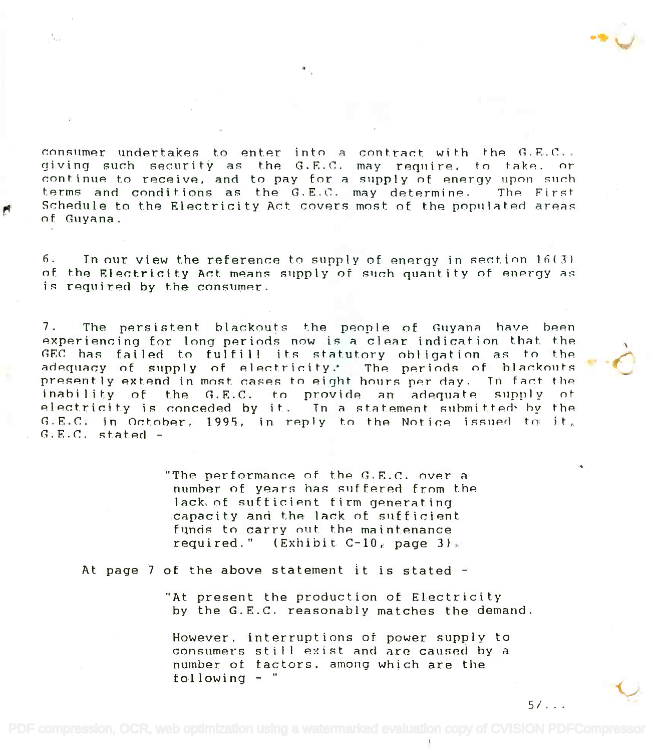consumer undertakes to enter into a contract with the  $G.E.C.$ giving such security as the G.E.C. may require, to take. or continue to receive, and to pay for a supply of energy upon such terms and conditions as the G.E.C. may determine. The First Schedule to the Electricity Act covers most of the populated areas of Guyana.

б. In our view the reference to supply of energy in section  $16(3)$ of the Electricity Act means supply of such quantity of energy as is required by the consumer.

 $7.$ The persistent blackouts the people of Guyana have been experiencing for long periods now is a clear indication that the GEC has failed to fulfill its statutory obligation as to the adequacy of supply of electricity. The periods of blackouts presently extend in most cases to eight hours per day. In fact the inability of the G.E.C. to provide an adequate supply n t electricity is conceded by it. In a statement submitted by the  $G.E.C.$  in October, 1995, in reply to the Notice issued to it,  $G.E.C.$  stated -

> "The performance of the G.E.C. over a number of years has suffered from the lack of sufficient firm generating capacity and the lack of sufficient funds to carry out the maintenance required." (Exhibit  $C-10$ , page 3)

At page 7 of the above statement it is stated  $-$ 

"At present the production of Electricity by the G.E.C. reasonably matches the demand.

However, interruptions of power supply to consumers still exist and are caused by a number of factors, among which are the following  $-$  "

 $5/1$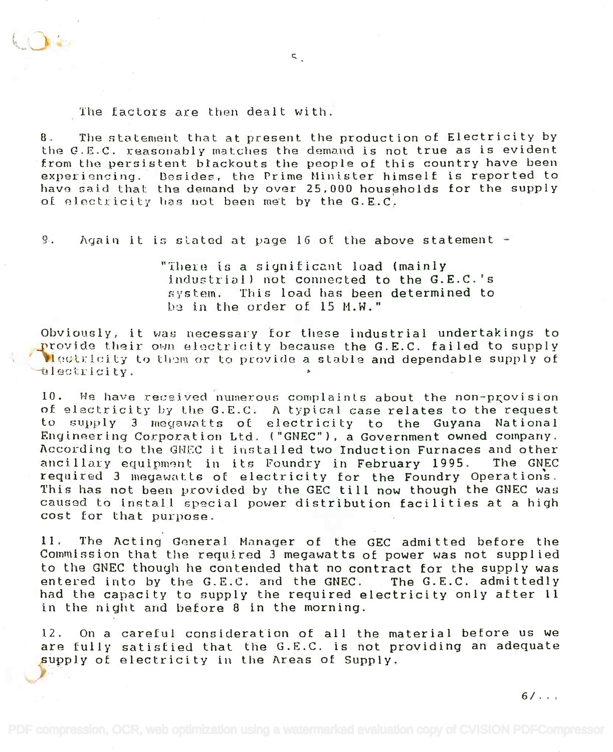### The factors are then dealt with.

8. The statement that at present the production of Electricity by 8. The statement that at present the product ion of Electrici ty by . In a statement that at present the production of Electricity by<br>the G.E.C. reasonably matches the demand is not true as is evident from the persistent blackouts the people of this country have been experiencing. Besides, the Prime Minister himself is reported to have said that: the demand by over 25,000 households for the supply havo said that the demand by over 25,000 households for the supply of electricity has not been met by the  $G.E.C.$ 

 $\zeta$ 

9. Again it is stated at page 16 of the above statement  $\div$ 

"There is a significant load (mainly industrial) not connected to the G.E.C.'s industrial) not connected to the G.E.C. 's system. This load has been determined to be in the order of 15 M.W."

Obviously, it was necessary for these industrial undertakings to provide their own electricity because the G.E.C. failed to supply  $\ell$  ) dectricity to them or to provide a stable and dependable supply of ded: edity.

10. We have received numerous complaints about the non-provision of electricity by the G.E.C. A typical case relates to the request of electricity by Lhe G.E.C. *1\* typical case relates to the request to supply 3 megawatts of electricity to the Guyana National to supply 3 megawatts of electricity to the Guyana National<br>Engineering-Corporation-Ltd. ("GNEC"), a Government-owned company. According to the GNEC it installed two Induction Furnaces and other According to the GNEC it installed two induction Furnaces and other<br>ancillary equipment in its Foundry in February 1995. The GNEC required 3 megawatts of electricity for the Foundry Operations. required 3 megawatts of electrici ty for the Foundry Operations. This has not been provided by the GEC till now though the GNEC was This has not been provided by the GEC tilL now though the GNEC was caused to install special power distribution facilities at a high cost for that purpose. cost for that purpose.

11. The Acting General Manager of the GEC admitted before the Commission that the required 3 megawatts of power was not supplied to the GNEC though he contended that no contract for the supply was to the GNEC though he contended that no contract for the supply was entered into by the G.E.C. and the GNEC. The G.E.C. admittedly entered into by the G.E.C. and the GNEC. The G.E.C. admittedly had the capacity to supply the required electricity only after 11 had the capacity to Rupply the required electricity only after 11 in the night and before 8 in the morning. in the night and before 8 in the morning.

12. On a careful consideration of all the material before us we 12. On a careful consideration of all the material before us we are fully satisfied that the G.E.C. is not providing an adequate are fully satisfied that the G.E.C. is hot providing an adequate supply of electricity in the Areas of Supply. supply of electricity in the Areas of Supply.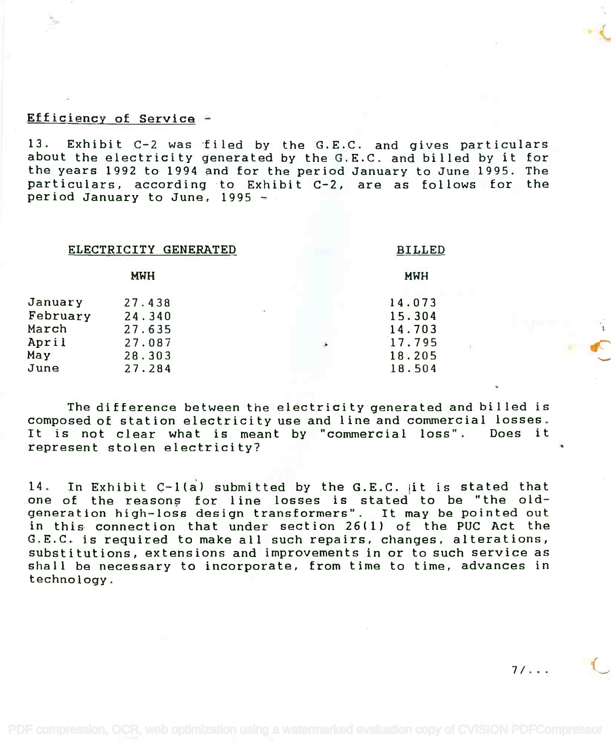## Efficiency of Service -

13. Exhibit C-2 was filed by the G.E.C. and gives particulars about the electricity generated by the G.E.C. and billed by it for the years 1992 to 1994 and for the period January to June 1995. The the years 1992 to 1994 and for the period January to June 1995. The particulars, according to Exhibit C-2, are as follows for the period January to June, 1995 13. Exhibit C-2 was filed by the G.E.C. and gives particular about the electricity generated by the G.E.C. and billed by it for particulars, according to Exhibit C-2, are as follows for the period January to June, 1995 -

| ELECTRICITY GENERATED |            |   | <b>BILLED</b> |            |  |  |
|-----------------------|------------|---|---------------|------------|--|--|
|                       | <b>MWH</b> |   |               | <b>MWH</b> |  |  |
| January               | 27.438     |   |               | 14.073     |  |  |
| February              | 24.340     | ٠ |               | 15.304     |  |  |
| March                 | 27.635     |   |               | 14.703     |  |  |
| April                 | 27.087     |   | Ä             | 17.795     |  |  |
| May                   | 28.303     |   |               | 18.205     |  |  |
| June                  | 27.284     |   |               | 18.504     |  |  |

The difference between the electricity generated and billed is The difference between the electricity generated and billed is composed of station electricity use and line and commercial losses. composed of station electricity use and line and commercial losses. It is not clear what is meant by "commercial loss". Does it represent stolen electricity? represent stolen electricity?

14. In Exhibit C-1(a ) submitted by the G.E.C. it is stated that 14. In Exhibit C-l(a) submitted by the G.E.C. lit is stated that one of the reasons for line losses is stated to be "the oldgeneration high-loss design transformers". It may be pointed out generation high-loss design transformers". It may be pointed out in this connection that under section 26(1) of the PUC Act the in this connection that under section 26(1) of the PUC Act the G.E.C. is required to make all such repairs, changes, alterations, G.E.C. is required to make all such repairs, changes, alterations, substitutions, extensions and improvements in or to such service as substitutions, extensions and improvements in or to such service as shall be necessary to incorporate, from time to time, advances in shall be necessary to incorporate, from time to time, advances in technology. technology.

 $7/\ldots$ 

, j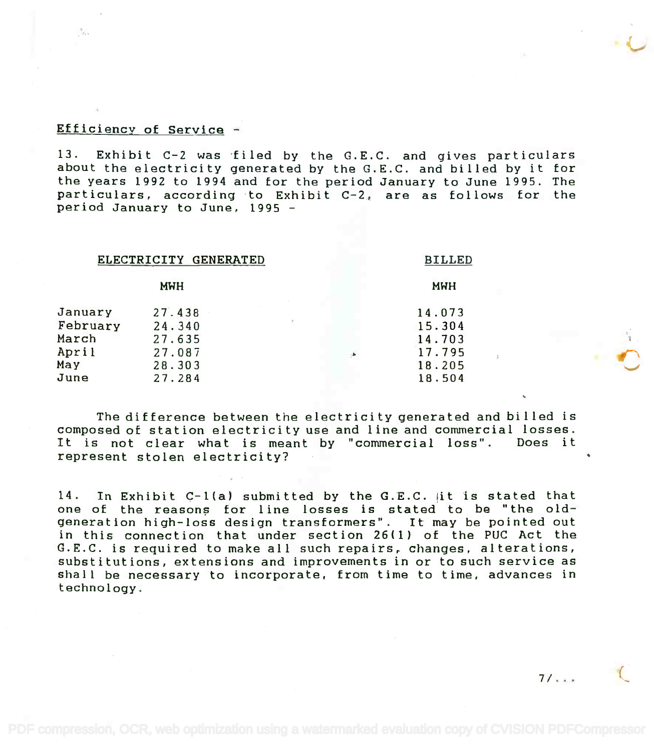### Efficiency of Service -

 $\frac{b}{\beta_{\ell-1}}$ 

13. Exhibit C-2 was filed by the G.E.C. and gives particulars 13. Exhibit C-2 was -filed by the G.E.C. and gives particulars about the electricity generated by the G.E.C. and billed by it for about the electricity generated by the G.E.C. and billed by it for the years 1992 to 1994 and for the period January to June 1995. The the years 1992 to 1994 and for the period January to June 1995. The particulars, according to Exhibit C-2, are as follows for the particulars, according to Exhibit C-2, are as follows for the period January to June, 1995 period January to June, 1995 -

# ELECTRICITY GENERATED BILLED ELECTRICITY GENERATED BILLED

| <b>MWH</b> |  | <b>MWH</b> |  |
|------------|--|------------|--|
| 27.438     |  | 14.073     |  |
| 24.340     |  | 15.304     |  |
| 27.635     |  | 14.703     |  |
| 27.087     |  | 17.795     |  |
| 28.303     |  | 18.205     |  |
| 27.284     |  | 18.504     |  |
|            |  |            |  |

The difference between the electricity generated and billed is The difference between the electricity generated and billed is composed of station electricity use and line and commercial losses. composed of station electricity use and line and commercial losses. It is not clear what is meant by "commercial loss". Does it It is not clear what is meant by "commercial loss". Does it represent stolen electricity? represent stolen electricity?

14. In Exhibit C-1(a) submitted by the G.E.C. it is stated that 14. In Exhibit C-Ua) submitted by the G.E.C. lit is stated that one of the reasons for line losses is stated to be "the oldgeneration high-loss design transformers". It may be pointed out generation high-loss design transformers". It may be pointed out in this connection that under section 26(1) of the PUC Act the in this connection that under section 26( 1) of the PUC Act the G.E.C. is required to make all such repairs, changes, alterations, G.E.C. is required to make all such repairs, changes, alterations, substitutions, extensions and improvements in or to such service as substitutions, extensions and improvements in or to such service as shall be necessary to incorporate, from time to time, advances in shall be necessary to incorporate, from time to time, advances in technology. technology.

 $71.11$ 

 $\mathbb{I}$  .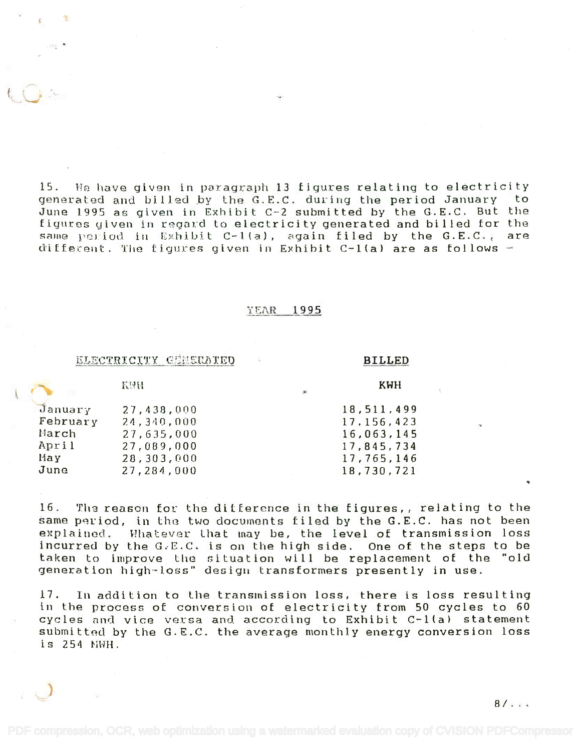15. Ile have given in paragraph 13 figures relating to electricity 15. He have given in paragraph 13 figures relating to electricity generated and billed by the G.E.C. during the period January to generated and billed by the G.E.C. during the period January to June 1995 as given in Exhibit C-2 submitted by the G.E.C. But the figures given in regard to electricity generated and billed for the same period in Exhibit C-1(a), again filed by the G.E.C., are  $di$  fferent. The figures given in Exhibit C-1(a) are as follows -

### YEAR 1995

### ELECTRICITY GENERATED BILLED

KWH.

t~..

KWH

|          |            | - Juli |              |  |
|----------|------------|--------|--------------|--|
| January  | 27,438,000 |        | 18,511,499   |  |
| February | 24,340,000 |        | 17, 156, 423 |  |
| March    | 27,635,000 |        | 16,063,145   |  |
| April    | 27,089,000 |        | 17,845,734   |  |
| May      | 28,303,000 |        | 17,765,146   |  |
| June     | 27,284,000 |        | 18,730,721   |  |
|          |            |        |              |  |

16. The reason for the ditference in the figures,, relating to the same period, in the two documents filed by the G.E.C. has not been explained. Whatever that may be, the level of transmission loss incurred by the G.E.C. is on the high side. One of the steps to be incurred by the G~E.C. is on the high side. One of the steps to be taken to improve the situation will be replacement of the "old generation high-loss" design transformers presently in use. generation high-loss" design transformers presently in use.

17. In addition to the transmission loss, there is loss resulting 17. In addition to Lhe transmission loss, there is loss resulting in the process of conversion of electricity from 50 cycles to 60 cycles and vice versa and according to Exhibit C-1(a) statement submitted by the G.E.C. the average monthly energy conversion loss submitted by the G.E.C. the average monthly energy conversion loss submitted by the<br>is 254 NWH.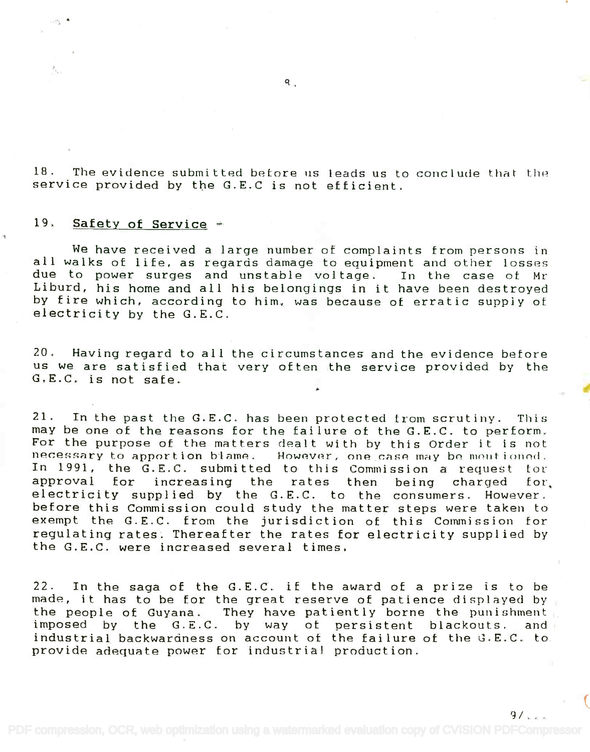$18$ . The evidence submitted before us leads us to conclude that the  $\blacksquare$ service provided by the G.E.0 is not efficient. service provided by the G.E.C is not efficient.

# 19. Safety of Service

 $\mathbb{Z}_{\mathcal{F}_{\mathbf{z},\mathcal{C}}}$ 

We have received a large number of complaints from persons in We have received a large number at complaints from persons in all walks of life, as regards damage to equipment and other losses all walks of life. as regards damage to equipment and other losses due to power surges and unstable voltage. In the case of Mr due to power surges and unstable vol tage. In the case at Hr Liburd, his home and all his belongings in it have been destroyed Liburd, his horne and all his belongings in it have been destroyed by fire which, according to him, was because of erratic supply of by fire which, according to him. was because of erratic supply at electricity by the G.E.C. electricity by the G.E.C.

20. Having regard to all the circumstances and the evidence before 20. Having regard to all the circumstances and the evidence before us we are satisfied that very often the service provided by the us we are satisfied that very often the service provided by the G.E.C. is not safe. G.E.C. is not safe.

21. In the past the G.E.C. has been protected from scrutiny. This 21. In the past the G.E.C. has been protected tram scrutiny. This may be one of the reasons for the failure of the G.E.C. to perform. may be one of the reasons for the failure of the G.E.C. to perform. For the purpose of the matters dealt with by this Order it is not For the purpose of the matters dealt with by this Order it is not necessary to apportion blame. However, one case may be mentioned. In 1991, the G.E.C. submitted to this Commission a request for approval for increasing the rates then being charged tor, approval for increasing the rates then being charged for. electricity supplied by the G.E.C. to the consumers. However. electricity supplied by the G.E.C. to the consumers. However. before this Commission could study the matter steps were taken to before this Commission could study the matter steps were taken to exempt the G.E.C. from the jurisdiction of this Commission for exempt the G.E.C. from the jurisdiction of this Commission for regulating rates. Thereafter the rates for electricity supplied by the G.E.C. were increased several times. the G.E.C. were increased several times.

22. In the saga of the G.E.C. if the award of a prize is to be 22. In the saga of the G.E.C. if the award of a prize is to be made, it has to be for the great reserve of patience displayed by made, it has to be for the great reserve of patience displayed by the people of Guyana. They have patiently borne the punishment imposed by the G.E.C. by way of persistent blackouts. and industrial backwardness on account of the failure of the G.E.C. to industrial backwardness on account at the failure of the G.E.C. to provide adequate power for industrial production. provide adequate power for industrial production.

 $\mathsf{R}$ .

 $9/1$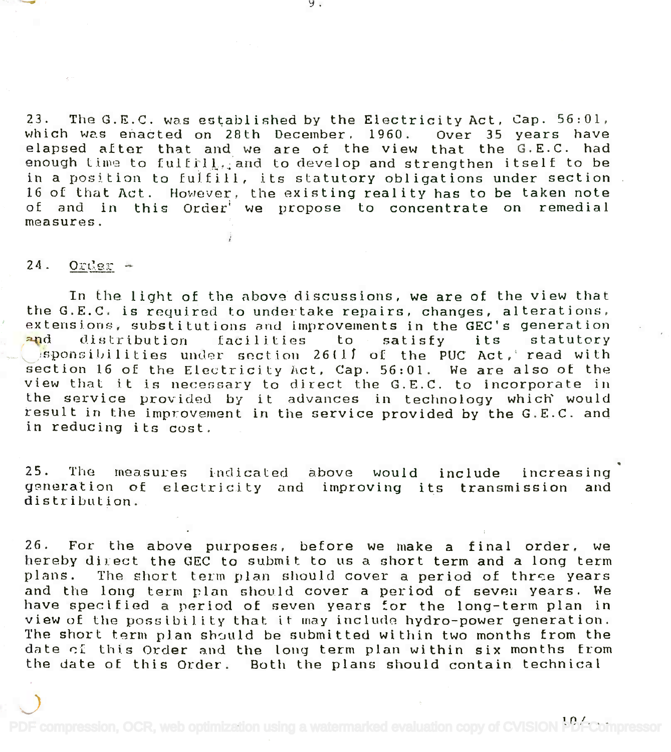23. The G.E.C. was established by the Electricity Act, Cap. 56:01, which was enacted on 28th December, 1960. Over 35 years have elapsed after that and we are of the view that the G.E.C. had enough time to fulfrll, and to develop and strengthen itself to be in a position to fulfill, its statutory obligations under section in a position to fulfill, its statutory obligations under section 16 of that Act. However, the existing reality has to be taken note 16 of that Act. However. the existing reality has to be taken note of and in this Order' we propose to concentrate on remedial of and in this Order<sup>i</sup> we propose to concentrate on remedial measures. measures.

## $24.$  Order -

In the light of the above discussions, we are of the view that In the light of the above discussions, we are of the view that the G.E.C. is required to undertake repairs, changes, alterations, extensions, substitutions and improvements in the GEC's generation extensions, substitutions and improvements in the GEC's generation <mark>an</mark>d distribution facilities to satisfy its statutory and  $\Box$  isponsibilities under section 26(1) of the PUC Act, read with section 16 of the Electricity Act, Cap. 56:01. We are also of the section 16 of the Electricity *hct,* Cap. 56:01. We are also of the view that it is necessary to direct the G.E.C. to incorporate in view that it is necessary to direct the G.E.C. to incorporate in the service provided by it advances in technology which would the service providel1 *by* it advances in technology which' would result in the improvement in the service provided by the G.E.C. and in reducing its cost. in reducing its cost.

25. The measures indicated above would include increasing generation of electricity and improving its transmission and generation of electricity and improving its transmission and distribution.

26. For the above purposes, before we make a final order, we 26. For the above purposes, before we make a final order, we hereby direct the GEC to submit to us a short term and a long term plans. The short term plan should cover a period of three years plans. The short tecm plan should cover a period of thrse years and the long term plan should cover a period of seven years. We have specified a period of seven years for the long-term plan in view of the possibility that it may include hydro-power generation. view of the possibility that it may include hydro-power generation. The short term plan should be submitted within two months from the date of this Order and the long term plan within six months from the date of this Order. Both the plans should contain technical the date oE this Order. Both the plans should contain technical

[PDF compression, OCR, web optimization using a watermarked evaluation copy of CVISION PDFCompressor](http://www.cvisiontech.com)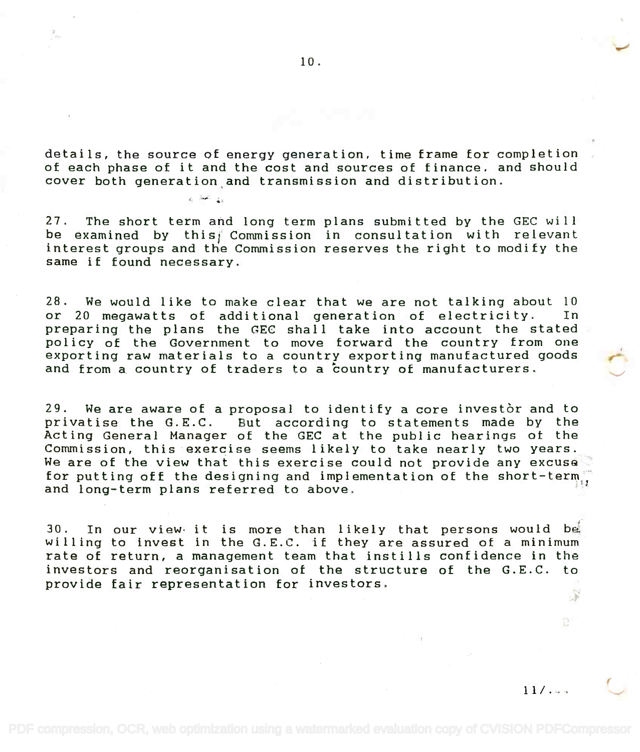details, the source of energy generation, time frame for completion details, the source of energy generation, time frame for completion of each phase of it and the cost and sources of finance. and should of each phase of it and the cost and sources of finance. and should cover both generation,and transmission and distribution. cover both generation and transmission and distribution.

a Samo Lo

27. The short term and long term plans submitted by the GEC will be examined by this $j$  Commission in consultation with relevant interest groups and the Commission reserves the right to modify the interest groups and the Commission reserves the right to modify the same if found necessary. same if found necessary.

28. We would like to make clear that we are not talking about 10 28. We would like to make clear that we are not talking about 10 or 20 megawatts of additional generation of electricity. In or 20 megawatts of additional generation of electricity. In preparing the plans the (IEC shall take into account the stated preparing the plans the EC shall take into account the stated policy of the Government to move forward the country from one policy of the Government to move forward the country from one exporting raw materials to a country exporting manufactured goods exporting raw materials to a country exporting manufactured goods and from a country of traders to a 'country of manufacturers. and from a country of traders to a country of manufacturers.

29. We are aware of a proposal to identify a core investor and to 29. We are aware of a proposal to identify a core investor and to privatise the G.E.C. But according to statements made by the privatise the G.E.C. But according to statements made by the Acting General Manager of the GEC at the public hearings of the Acting General Manager of the GEC at the public hearings ot the Commission, this exercise seems likely to take nearly two years. Commission, this exercise seems likely to take nearly two years. We are of the view that this exercise could not provide any excuse  $\degree$ for putting off the designing and implementation of the short-term $\Box$ and long-term plans referred to above. and long-term plans referred to above. "

30. In our view it is more than likely that persons would be 30. In our view· it is more than likely that persons would bet willing to invest in the G.E.C. if they are assured of a minimum willing to invest in the G.E.C. if they are assured of a minimum rate of return, a management team that instills confidence in the investors and reorganisation of the structure of the G.E.C. to investors and reorganisation of the structure of the G.E.C. to provide fair representation for investors. provide fair representation for investors. :,f

(

 $11 / . -$ 

 $\mathbb{C}$